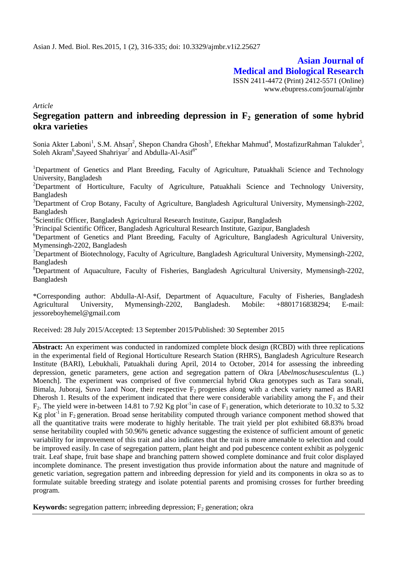**Asian Journal of Medical and Biological Research** ISSN 2411-4472 (Print) 2412-5571 (Online) www.ebupress.com/journal/ajmbr

*Article*

# **Segregation pattern and inbreeding depression in F<sup>2</sup> generation of some hybrid okra varieties**

Sonia Akter Laboni<sup>1</sup>, S.M. Ahsan<sup>2</sup>, Shepon Chandra Ghosh<sup>3</sup>, Eftekhar Mahmud<sup>4</sup>, MostafizurRahman Talukder<sup>5</sup>, Soleh Akram<sup>6</sup>, Sayeed Shahriyar<sup>7</sup> and Abdulla-Al-Asif<sup>8\*</sup>

<sup>1</sup>Department of Genetics and Plant Breeding, Faculty of Agriculture, Patuakhali Science and Technology University, Bangladesh

<sup>2</sup>Department of Horticulture, Faculty of Agriculture, Patuakhali Science and Technology University, Bangladesh

<sup>3</sup>Department of Crop Botany, Faculty of Agriculture, Bangladesh Agricultural University, Mymensingh-2202, Bangladesh

<sup>4</sup>Scientific Officer, Bangladesh Agricultural Research Institute, Gazipur, Bangladesh

<sup>5</sup>Principal Scientific Officer, Bangladesh Agricultural Research Institute, Gazipur, Bangladesh

<sup>6</sup>Department of Genetics and Plant Breeding, Faculty of Agriculture, Bangladesh Agricultural University, Mymensingh-2202, Bangladesh

<sup>7</sup>Department of Biotechnology, Faculty of Agriculture, Bangladesh Agricultural University, Mymensingh-2202, Bangladesh

<sup>8</sup>Department of Aquaculture, Faculty of Fisheries, Bangladesh Agricultural University, Mymensingh-2202, Bangladesh

\*Corresponding author: Abdulla-Al-Asif, Department of Aquaculture, Faculty of Fisheries, Bangladesh Agricultural University, Mymensingh-2202, Bangladesh. Mobile: +8801716838294; E-mail: jessoreboyhemel@gmail.com

Received: 28 July 2015/Accepted: 13 September 2015/Published: 30 September 2015

**Abstract:** An experiment was conducted in randomized complete block design (RCBD) with three replications in the experimental field of Regional Horticulture Research Station (RHRS), Bangladesh Agriculture Research Institute (BARI), Lebukhali, Patuakhali during April, 2014 to October, 2014 for assessing the inbreeding depression, genetic parameters, gene action and segregation pattern of Okra [*Abelmoschusesculentus* (L.) Moench]. The experiment was comprised of five commercial hybrid Okra genotypes such as Tara sonali, Bimala, Juboraj, Suvo 1and Noor, their respective  $F_2$  progenies along with a check variety named as BARI Dherosh 1. Results of the experiment indicated that there were considerable variability among the  $F_1$  and their  $F_2$ . The yield were in-between 14.81 to 7.92 Kg plot<sup>-1</sup>in case of  $F_1$  generation, which deteriorate to 10.32 to 5.32 Kg plot<sup>-1</sup> in  $F_2$  generation. Broad sense heritability computed through variance component method showed that all the quantitative traits were moderate to highly heritable. The trait yield per plot exhibited 68.83% broad sense heritability coupled with 50.96% genetic advance suggesting the existence of sufficient amount of genetic variability for improvement of this trait and also indicates that the trait is more amenable to selection and could be improved easily. In case of segregation pattern, plant height and pod pubescence content exhibit as polygenic trait. Leaf shape, fruit base shape and branching pattern showed complete dominance and fruit color displayed incomplete dominance. The present investigation thus provide information about the nature and magnitude of genetic variation, segregation pattern and inbreeding depression for yield and its components in okra so as to formulate suitable breeding strategy and isolate potential parents and promising crosses for further breeding program.

**Keywords:** segregation pattern; inbreeding depression;  $F_2$  generation; okra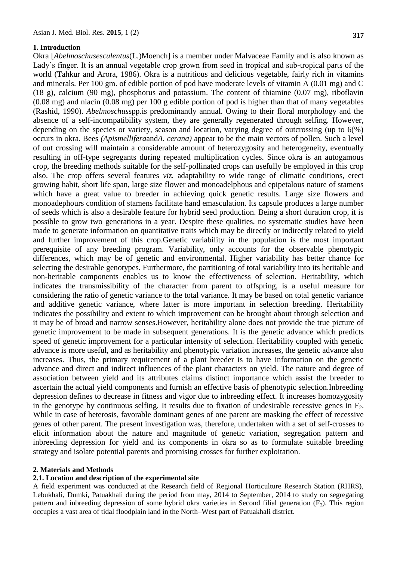#### **1. Introduction**

Okra [*Abelmoschusesculentus*(L.)Moench] is a member under Malvaceae Family and is also known as Lady's finger. It is an annual vegetable crop grown from seed in tropical and sub-tropical parts of the world (Tahkur and Arora, 1986). Okra is a nutritious and delicious vegetable, fairly rich in vitamins and minerals. Per 100 gm. of edible portion of pod have moderate levels of vitamin A (0.01 mg) and C (18 g), calcium (90 mg), phosphorus and potassium. The content of thiamine (0.07 mg), riboflavin (0.08 mg) and niacin (0.08 mg) per 100 g edible portion of pod is higher than that of many vegetables (Rashid, 1990). *Abelmoschus*spp.is predominantly annual. Owing to their floral morphology and the absence of a self-incompatibility system, they are generally regenerated through selfing. However, depending on the species or variety, season and location, varying degree of outcrossing (up to 6(%) occurs in okra. Bees *(Apismellifera*and*A. cerana)* appear to be the main vectors of pollen. Such a level of out crossing will maintain a considerable amount of heterozygosity and heterogeneity, eventually resulting in off-type segregants during repeated multiplication cycles. Since okra is an autogamous crop, the breeding methods suitable for the self-pollinated crops can usefully be employed in this crop also. The crop offers several features *viz.* adaptability to wide range of climatic conditions, erect growing habit, short life span, large size flower and monoadelphous and epipetalous nature of stamens which have a great value to breeder in achieving quick genetic results. Large size flowers and monoadephours condition of stamens facilitate hand emasculation. Its capsule produces a large number of seeds which is also a desirable feature for hybrid seed production. Being a short duration crop, it is possible to grow two generations in a year. Despite these qualities, no systematic studies have been made to generate information on quantitative traits which may be directly or indirectly related to yield and further improvement of this crop.Genetic variability in the population is the most important prerequisite of any breeding program. Variability, only accounts for the observable phenotypic differences, which may be of genetic and environmental. Higher variability has better chance for selecting the desirable genotypes. Furthermore, the partitioning of total variability into its heritable and non-heritable components enables us to know the effectiveness of selection. Heritability, which indicates the transmissibility of the character from parent to offspring, is a useful measure for considering the ratio of genetic variance to the total variance. It may be based on total genetic variance and additive genetic variance, where latter is more important in selection breeding. Heritability indicates the possibility and extent to which improvement can be brought about through selection and it may be of broad and narrow senses.However, heritability alone does not provide the true picture of genetic improvement to be made in subsequent generations. It is the genetic advance which predicts speed of genetic improvement for a particular intensity of selection. Heritability coupled with genetic advance is more useful, and as heritability and phenotypic variation increases, the genetic advance also increases. Thus, the primary requirement of a plant breeder is to have information on the genetic advance and direct and indirect influences of the plant characters on yield. The nature and degree of association between yield and its attributes claims distinct importance which assist the breeder to ascertain the actual yield components and furnish an effective basis of phenotypic selection.Inbreeding depression defines to decrease in fitness and vigor due to inbreeding effect. It increases homozygosity in the genotype by continuous selfing. It results due to fixation of undesirable recessive genes in  $F_2$ . While in case of heterosis, favorable dominant genes of one parent are masking the effect of recessive genes of other parent. The present investigation was, therefore, undertaken with a set of self-crosses to elicit information about the nature and magnitude of genetic variation, segregation pattern and inbreeding depression for yield and its components in okra so as to formulate suitable breeding strategy and isolate potential parents and promising crosses for further exploitation.

#### **2. Materials and Methods**

#### **2.1. Location and description of the experimental site**

A field experiment was conducted at the Research field of Regional Horticulture Research Station (RHRS), Lebukhali, Dumki, Patuakhali during the period from may, 2014 to September, 2014 to study on segregating pattern and inbreeding depression of some hybrid okra varieties in Second filial generation  $(F_2)$ . This region occupies a vast area of tidal floodplain land in the North–West part of Patuakhali district.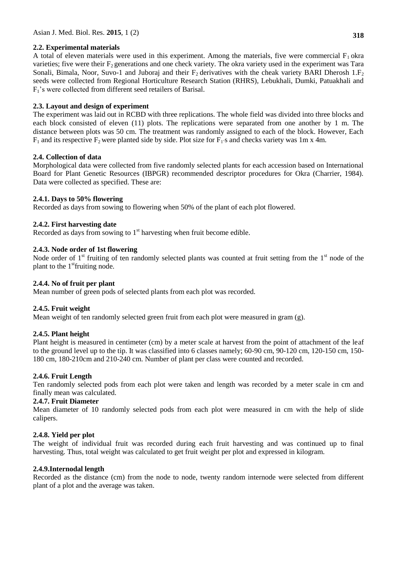## **2.2. Experimental materials**

A total of eleven materials were used in this experiment. Among the materials, five were commercial  $F_1$  okra varieties; five were their  $F_2$  generations and one check variety. The okra variety used in the experiment was Tara Sonali, Bimala, Noor, Suvo-1 and Juboraj and their  $F_2$  derivatives with the cheak variety BARI Dherosh 1. $F_2$ seeds were collected from Regional Horticulture Research Station (RHRS), Lebukhali, Dumki, Patuakhali and F1's were collected from different seed retailers of Barisal.

## **2.3. Layout and design of experiment**

The experiment was laid out in RCBD with three replications. The whole field was divided into three blocks and each block consisted of eleven (11) plots. The replications were separated from one another by 1 m. The distance between plots was 50 cm. The treatment was randomly assigned to each of the block. However, Each  $F_1$  and its respective  $F_2$  were planted side by side. Plot size for  $F_1$ 's and checks variety was 1m x 4m.

## **2.4. Collection of data**

Morphological data were collected from five randomly selected plants for each accession based on International Board for Plant Genetic Resources (IBPGR) recommended descriptor procedures for Okra (Charrier, 1984). Data were collected as specified. These are:

## **2.4.1. Days to 50% flowering**

Recorded as days from sowing to flowering when 50% of the plant of each plot flowered.

## **2.4.2. First harvesting date**

Recorded as days from sowing to  $1<sup>st</sup>$  harvesting when fruit become edible.

## **2.4.3. Node order of 1st flowering**

Node order of  $1<sup>st</sup>$  fruiting of ten randomly selected plants was counted at fruit setting from the  $1<sup>st</sup>$  node of the plant to the  $1<sup>st</sup>$  fruiting node.

## **2.4.4. No of fruit per plant**

Mean number of green pods of selected plants from each plot was recorded.

## **2.4.5. Fruit weight**

Mean weight of ten randomly selected green fruit from each plot were measured in gram (g).

## **2.4.5. Plant height**

Plant height is measured in centimeter (cm) by a meter scale at harvest from the point of attachment of the leaf to the ground level up to the tip. It was classified into 6 classes namely; 60-90 cm, 90-120 cm, 120-150 cm, 150- 180 cm, 180-210cm and 210-240 cm. Number of plant per class were counted and recorded.

## **2.4.6. Fruit Length**

Ten randomly selected pods from each plot were taken and length was recorded by a meter scale in cm and finally mean was calculated.

## **2.4.7. Fruit Diameter**

Mean diameter of 10 randomly selected pods from each plot were measured in cm with the help of slide calipers.

## **2.4.8. Yield per plot**

The weight of individual fruit was recorded during each fruit harvesting and was continued up to final harvesting. Thus, total weight was calculated to get fruit weight per plot and expressed in kilogram.

## **2.4.9.Internodal length**

Recorded as the distance (cm) from the node to node, twenty random internode were selected from different plant of a plot and the average was taken.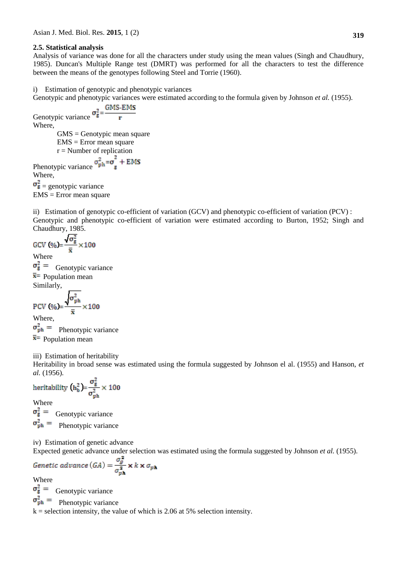#### **2.5. Statistical analysis**

Analysis of variance was done for all the characters under study using the mean values (Singh and Chaudhury, 1985). Duncan's Multiple Range test (DMRT) was performed for all the characters to test the difference between the means of the genotypes following Steel and Torrie (1960).

i) Estimation of genotypic and phenotypic variances

Genotypic and phenotypic variances were estimated according to the formula given by Johnson *et al.* (1955).

Genotypic variance  $\sigma_{\bar{g}}^2 = \frac{GMS \cdot EMS}{r}$ Where, GMS = Genotypic mean square EMS = Error mean square  $r =$ Number of replication Phenotypic variance  $\sigma_{ph}^2 = \sigma_g^2 + EMS$ <br>Where Where,  $\sigma_{\mathbf{g}}^2$  = genotypic variance EMS = Error mean square

ii) Estimation of genotypic co-efficient of variation (GCV) and phenotypic co-efficient of variation (PCV) : Genotypic and phenotypic co-efficient of variation were estimated according to Burton, 1952; Singh and Chaudhury, 1985.

$$
GCV (\%) = \frac{\sqrt{\sigma_g^2}}{\overline{x}} \times 100
$$
  
Where

Genotypic variance  $\bar{x}$  Population mean Similarly,

PCV (%)=
$$
\frac{\sqrt{\sigma_{\text{ph}}^2}}{\bar{x}} \times 100
$$

Where,  $\sigma_{ph}^2$  = Phenotypic variance  $\bar{x}$  Population mean

iii) Estimation of heritability

Heritability in broad sense was estimated using the formula suggested by Johnson el al. (1955) and Hanson, *et al.* (1956).

heritability 
$$
(h_b^2) = \frac{\sigma_g^2}{\sigma_{\text{ph}}^2} \times 100
$$

Where

 $\sigma_{\rm g}^2$  = Genotypic variance  $\sigma_{ph}^2$  = Phenotypic variance

iv) Estimation of genetic advance

Expected genetic advance under selection was estimated using the formula suggested by Johnson *et al.* (1955).

$$
Genetic advance (GA) = \frac{\sigma_g^2}{\sigma_{ph}^2} \times k \times \sigma_{ph}
$$

Where

 $\sigma_{\rm g}^2$  = Genotypic variance

 $\sigma_{\rm ph}^2 =$ Phenotypic variance

 $k =$  selection intensity, the value of which is 2.06 at 5% selection intensity.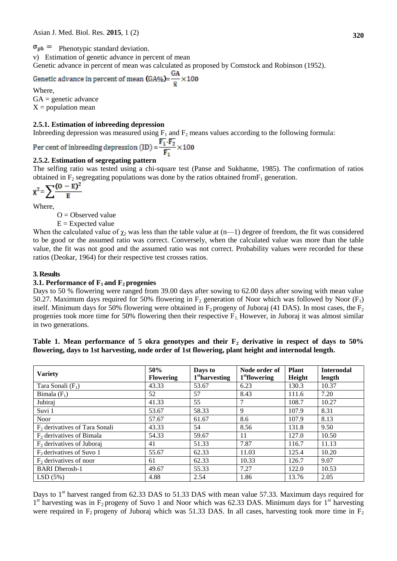$\sigma_{ph}$  = Phenotypic standard deviation.

v) Estimation of genetic advance in percent of mean

Genetic advance in percent of mean was calculated as proposed by Comstock and Robinson (1952).<br>Genetic advance in percent of mean (GA%)= $\frac{GA}{\bar{x}} \times 100$ 

Where,

 $GA =$  genetic advance  $X =$  population mean

#### **2.5.1. Estimation of inbreeding depression**

Inbreeding depression was measured using  $F_1$  and  $F_2$  means values according to the following formula:

Per cent of inbreeding depression (ID) =  $\frac{\overline{\mathbf{F}_1} \cdot \overline{\mathbf{F}_2}}{\overline{\mathbf{F}_2}} \times 100$ 

## **2.5.2. Estimation of segregating pattern**

The selfing ratio was tested using a chi-square test (Panse and Sukhatme, 1985). The confirmation of ratios obtained in  $F_2$  segregating populations was done by the ratios obtained from  $F_1$  generation.

$$
\chi^2 = \sum \frac{(O - E)^2}{E}
$$

Where,

 $O = Observed value$ 

 $E =$  Expected value

When the calculated value of  $\chi_2$  was less than the table value at (n—1) degree of freedom, the fit was considered to be good or the assumed ratio was correct. Conversely, when the calculated value was more than the table value, the fit was not good and the assumed ratio was not correct. Probability values were recorded for these ratios (Deokar, 1964) for their respective test crosses ratios.

#### **3. Results**

#### **3.1. Performance of F1 and F2 progenies**

Days to 50 % flowering were ranged from 39.00 days after sowing to 62.00 days after sowing with mean value 50.27. Maximum days required for 50% flowering in  $F_2$  generation of Noor which was followed by Noor (F<sub>1</sub>) itself. Minimum days for 50% flowering were obtained in  $F_2$  progeny of Juboraj (41 DAS). In most cases, the  $F_2$ progenies took more time for 50% flowering then their respective  $F_1$ . However, in Juboraj it was almost similar in two generations.

|  |  | Table 1. Mean performance of 5 okra genotypes and their $F_2$ derivative in respect of days to 50%  |  |  |  |  |  |
|--|--|-----------------------------------------------------------------------------------------------------|--|--|--|--|--|
|  |  | flowering, days to 1st harvesting, node order of 1st flowering, plant height and internodal length. |  |  |  |  |  |

| <b>Variety</b>                   | 50%<br><b>Flowering</b> | Days to<br>1 <sup>st</sup> harvesting | Node order of<br>1 <sup>st</sup> flowering | <b>Plant</b><br>Height | <b>Internodal</b><br>length |
|----------------------------------|-------------------------|---------------------------------------|--------------------------------------------|------------------------|-----------------------------|
| Tara Sonali $(F_1)$              | 43.33                   | 53.67                                 | 6.23                                       | 130.3                  | 10.37                       |
| Bimala $(F_1)$                   | 52                      | 57                                    | 8.43                                       | 111.6                  | 7.20                        |
| Jubiraj                          | 41.33                   | 55                                    | 7                                          | 108.7                  | 10.27                       |
| Suvi 1                           | 53.67                   | 58.33                                 | 9                                          | 107.9                  | 8.31                        |
| <b>Noor</b>                      | 57.67                   | 61.67                                 | 8.6                                        | 107.9                  | 8.13                        |
| $F_2$ derivatives of Tara Sonali | 43.33                   | 54                                    | 8.56                                       | 131.8                  | 9.50                        |
| $F2$ derivatives of Bimala       | 54.33                   | 59.67                                 | 11                                         | 127.0                  | 10.50                       |
| $F_2$ derivatives of Juboraj     | 41                      | 51.33                                 | 7.87                                       | 116.7                  | 11.13                       |
| $F2$ derivatives of Suvo 1       | 55.67                   | 62.33                                 | 11.03                                      | 125.4                  | 10.20                       |
| $F_2$ derivatives of noor        | 61                      | 62.33                                 | 10.33                                      | 126.7                  | 9.07                        |
| <b>BARI</b> Dherosh-1            | 49.67                   | 55.33                                 | 7.27                                       | 122.0                  | 10.53                       |
| LSD(5%)                          | 4.88                    | 2.54                                  | 1.86                                       | 13.76                  | 2.05                        |

Days to  $1<sup>st</sup>$  harvest ranged from 62.33 DAS to 51.33 DAS with mean value 57.33. Maximum days required for  $1<sup>st</sup>$  harvesting was in  $F_2$  progeny of Suvo 1 and Noor which was 62.33 DAS. Minimum days for  $1<sup>st</sup>$  harvesting were required in  $F_2$  progeny of Juboraj which was 51.33 DAS. In all cases, harvesting took more time in  $F_2$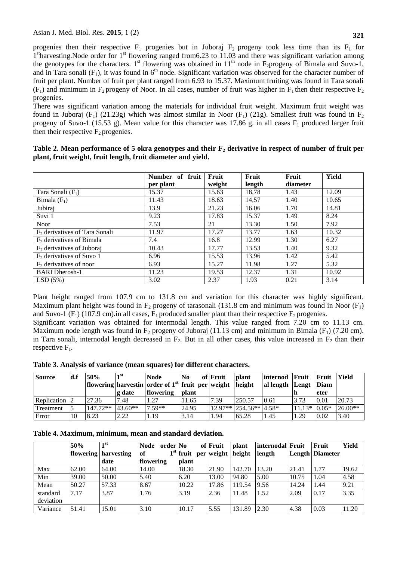progenies then their respective  $F_1$  progenies but in Juboraj  $F_2$  progeny took less time than its  $F_1$  for 1<sup>st</sup>harvesting.Node order for 1<sup>st</sup> flowering ranged from6.23 to 11.03 and there was significant variation among the genotypes for the characters. 1<sup>st</sup> flowering was obtained in 11<sup>th</sup> node in F<sub>2</sub>progeny of Bimala and Suvo-1, and in Tara sonali  $(F_1)$ , it was found in  $6<sup>th</sup>$  node. Significant variation was observed for the character number of fruit per plant. Number of fruit per plant ranged from 6.93 to 15.37. Maximum fruiting was found in Tara sonali  $(F_1)$  and minimum in  $F_2$  progeny of Noor. In all cases, number of fruit was higher in  $F_1$  then their respective  $F_2$ progenies.

There was significant variation among the materials for individual fruit weight. Maximum fruit weight was found in Juboraj (F<sub>1</sub>) (21.23g) which was almost similar in Noor (F<sub>1</sub>) (21g). Smallest fruit was found in F<sub>2</sub> progeny of Suvo-1 (15.53 g). Mean value for this character was 17.86 g, in all cases  $F_1$  produced larger fruit then their respective  $F_2$  progenies.

| Table 2. Mean performance of 5 okra genotypes and their $F_2$ derivative in respect of number of fruit per |  |
|------------------------------------------------------------------------------------------------------------|--|
| plant, fruit weight, fruit length, fruit diameter and yield.                                               |  |

|                                 | Number of fruit | Fruit  | Fruit  | Fruit    | Yield |
|---------------------------------|-----------------|--------|--------|----------|-------|
|                                 | per plant       | weight | length | diameter |       |
| Tara Sonali $(F_1)$             | 15.37           | 15.63  | 18,78  | 1.43     | 12.09 |
| Bimala $(F_1)$                  | 11.43           | 18.63  | 14,57  | 1.40     | 10.65 |
| Jubiraj                         | 13.9            | 21.23  | 16.06  | 1.70     | 14.81 |
| Suvi 1                          | 9.23            | 17.83  | 15.37  | 1.49     | 8.24  |
| <b>Noor</b>                     | 7.53            | 21     | 13.30  | 1.50     | 7.92  |
| $F2$ derivatives of Tara Sonali | 11.97           | 17.27  | 13.77  | 1.63     | 10.32 |
| $F2$ derivatives of Bimala      | 7.4             | 16.8   | 12.99  | 1.30     | 6.27  |
| $F2$ derivatives of Juboraj     | 10.43           | 17.77  | 13.53  | 1.40     | 9.32  |
| $F_2$ derivatives of Suvo 1     | 6.96            | 15.53  | 13.96  | 1.42     | 5.42  |
| $F_2$ derivatives of noor       | 6.93            | 15.27  | 11.98  | 1.27     | 5.32  |
| <b>BARI</b> Dherosh-1           | 11.23           | 19.53  | 12.37  | 1.31     | 10.92 |
| LSD(5%)                         | 3.02            | 2.37   | 1.93   | 0.21     | 3.14  |

Plant height ranged from 107.9 cm to 131.8 cm and variation for this character was highly significant. Maximum plant height was found in  $F_2$  progeny of tarasonali (131.8 cm and minimum was found in Noor ( $F_1$ ) and Suvo-1 (F<sub>1</sub>) (107.9 cm).in all cases, F<sub>1</sub> produced smaller plant than their respective F<sub>2</sub> progenies.

Significant variation was obtained for intermodal length. This value ranged from 7.20 cm to 11.13 cm. Maximum node length was found in  $F_2$  progeny of Juboraj (11.13 cm) and minimum in Bimala ( $F_1$ ) (7.20 cm). in Tara sonali, internodal length decreased in  $F_2$ . But in all other cases, this value increased in  $F_2$  than their respective  $F_1$ .

| Table 3. Analysis of variance (mean squares) for different characters. |  |  |
|------------------------------------------------------------------------|--|--|
|                                                                        |  |  |

| <b>Source</b>        | d.f | 50%        | 1st<br>g date | <b>Node</b><br>$\int$ flowering harvestin order of 1 <sup>st</sup> fruit per weight<br>flowering | N <sub>0</sub><br><b>plant</b> | of Fruit | <b>plant</b><br>height       | linternod Fruit<br>al length Lengt Diam |                | Fruit<br>eter | <b>Yield</b> |
|----------------------|-----|------------|---------------|--------------------------------------------------------------------------------------------------|--------------------------------|----------|------------------------------|-----------------------------------------|----------------|---------------|--------------|
| <b>Replication</b> 2 |     | 27.36      | 7.48          | 1.27                                                                                             | 11.65                          | 7.39     | 250.57                       | 0.61                                    | 3.73           | 0.01          | 20.73        |
| Treatment            |     | $147.72**$ | $43.60**$     | $.59**$                                                                                          | 24.95                          |          | $12.97**$   254.56**   4.58* |                                         | $11.13* 0.05*$ |               | $26.00**$    |
| Error                | 10  | 8.23       | 2.22          | 1.19                                                                                             | 3.14                           | 1.94     | 65.28                        | 1.45                                    | 1.29           | 0.02          | 3.40         |

|  |  |  |  | Table 4. Maximum, minimum, mean and standard deviation. |  |  |  |
|--|--|--|--|---------------------------------------------------------|--|--|--|
|--|--|--|--|---------------------------------------------------------|--|--|--|

|           | 50%   | $\blacksquare$ st    | Node order No |                               | of Fruit | <b>plant</b> | internodal Fruit |       | Fruit                  | Yield |
|-----------|-------|----------------------|---------------|-------------------------------|----------|--------------|------------------|-------|------------------------|-------|
|           |       | flowering harvesting | of            | $1st$ fruit per weight height |          |              | length           |       | <b>Length Diameter</b> |       |
|           |       | date                 | flowering     | <b>plant</b>                  |          |              |                  |       |                        |       |
| Max       | 62.00 | 64.00                | 14.00         | 18.30                         | 21.90    | 142.70       | 13.20            | 21.41 | 1.77                   | 19.62 |
| Min       | 39.00 | 50.00                | 5.40          | 6.20                          | 13.00    | 94.80        | 5.00             | 10.75 | 1.04                   | 4.58  |
| Mean      | 50.27 | 57.33                | 8.67          | 10.22                         | 17.86    | 119.54       | 9.56             | 14.24 | 1.44                   | 9.21  |
| standard  | 7.17  | 3.87                 | 1.76          | 3.19                          | 2.36     | 11.48        | 1.52             | 2.09  | 0.17                   | 3.35  |
| deviation |       |                      |               |                               |          |              |                  |       |                        |       |
| Variance  | 51.41 | 15.01                | 3.10          | 10.17                         | 5.55     | 131.89       | 2.30             | 4.38  | 0.03                   | 11.20 |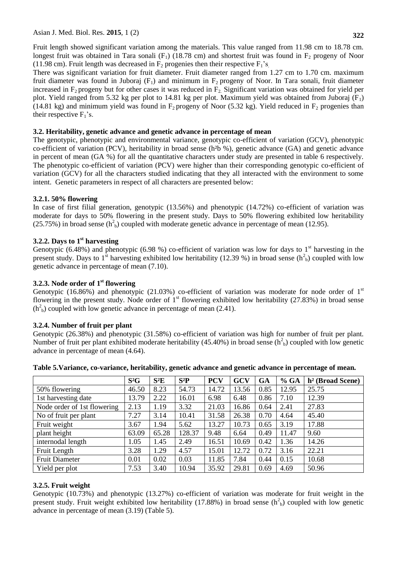Fruit length showed significant variation among the materials. This value ranged from 11.98 cm to 18.78 cm. longest fruit was obtained in Tara sonali (F<sub>1</sub>) (18.78 cm) and shortest fruit was found in F<sub>2</sub> progeny of Noor (11.98 cm). Fruit length was decreased in  $F_2$  progenies then their respective  $F_1$ 's.

There was significant variation for fruit diameter. Fruit diameter ranged from 1.27 cm to 1.70 cm. maximum fruit diameter was found in Juboraj  $(F_1)$  and minimum in  $F_2$  progeny of Noor. In Tara sonali, fruit diameter increased in  $F_2$  progeny but for other cases it was reduced in  $F_2$ . Significant variation was obtained for yield per plot. Yield ranged from 5.32 kg per plot to 14.81 kg per plot. Maximum yield was obtained from Juboraj ( $F_1$ ) (14.81 kg) and minimum yield was found in  $F_2$  progeny of Noor (5.32 kg). Yield reduced in  $F_2$  progenies than their respective  $F_1$ 's.

## **3.2. Heritability, genetic advance and genetic advance in percentage of mean**

The genotypic, phenotypic and environmental variance, genotypic co-efficient of variation (GCV), phenotypic co-efficient of variation (PCV), heritability in broad sense (h²b %), genetic advance (GA) and genetic advance in percent of mean (GA %) for all the quantitative characters under study are presented in table 6 respectively. The phenotypic co-efficient of variation (PCV) were higher than their corresponding genotypic co-efficient of variation (GCV) for all the characters studied indicating that they all interacted with the environment to some intent. Genetic parameters in respect of all characters are presented below:

# **3.2.1. 50% flowering**

In case of first filial generation, genotypic (13.56%) and phenotypic (14.72%) co-efficient of variation was moderate for days to 50% flowering in the present study. Days to 50% flowering exhibited low heritability (25.75%) in broad sense ( $h<sup>2</sup><sub>b</sub>$ ) coupled with moderate genetic advance in percentage of mean (12.95).

## **3.2.2. Days to 1st harvesting**

Genotypic (6.48%) and phenotypic (6.98 %) co-efficient of variation was low for days to  $1<sup>st</sup>$  harvesting in the present study. Days to  $1^{st}$  harvesting exhibited low heritability (12.39 %) in broad sense ( $h<sup>2</sup><sub>b</sub>$ ) coupled with low genetic advance in percentage of mean (7.10).

## **3.2.3. Node order of 1st flowering**

Genotypic (16.86%) and phenotypic (21.03%) co-efficient of variation was moderate for node order of  $1<sup>st</sup>$ flowering in the present study. Node order of  $1<sup>st</sup>$  flowering exhibited low heritability (27.83%) in broad sense  $(h<sup>2</sup><sub>b</sub>)$  coupled with low genetic advance in percentage of mean (2.41).

# **3.2.4. Number of fruit per plant**

Genotypic (26.38%) and phenotypic (31.58%) co-efficient of variation was high for number of fruit per plant. Number of fruit per plant exhibited moderate heritability (45.40%) in broad sense  $(h<sup>2</sup><sub>b</sub>)$  coupled with low genetic advance in percentage of mean (4.64).

|                             | $S^2G$ | $S^2E$ | $S^2P$ | <b>PCV</b> | GCV   | GA   | % GA  | $h^2$ (Broad Scene) |
|-----------------------------|--------|--------|--------|------------|-------|------|-------|---------------------|
| 50% flowering               | 46.50  | 8.23   | 54.73  | 14.72      | 13.56 | 0.85 | 12.95 | 25.75               |
| 1st harvesting date         | 13.79  | 2.22   | 16.01  | 6.98       | 6.48  | 0.86 | 7.10  | 12.39               |
| Node order of 1st flowering | 2.13   | 1.19   | 3.32   | 21.03      | 16.86 | 0.64 | 2.41  | 27.83               |
| No of fruit per plant       | 7.27   | 3.14   | 10.41  | 31.58      | 26.38 | 0.70 | 4.64  | 45.40               |
| Fruit weight                | 3.67   | 1.94   | 5.62   | 13.27      | 10.73 | 0.65 | 3.19  | 17.88               |
| plant height                | 63.09  | 65.28  | 128.37 | 9.48       | 6.64  | 0.49 | 11.47 | 9.60                |
| internodal length           | 1.05   | 1.45   | 2.49   | 16.51      | 10.69 | 0.42 | 1.36  | 14.26               |
| Fruit Length                | 3.28   | 1.29   | 4.57   | 15.01      | 12.72 | 0.72 | 3.16  | 22.21               |
| <b>Fruit Diameter</b>       | 0.01   | 0.02   | 0.03   | 11.85      | 7.84  | 0.44 | 0.15  | 10.68               |
| Yield per plot              | 7.53   | 3.40   | 10.94  | 35.92      | 29.81 | 0.69 | 4.69  | 50.96               |

**Table 5.Variance, co-variance, heritability, genetic advance and genetic advance in percentage of mean.**

# **3.2.5. Fruit weight**

Genotypic (10.73%) and phenotypic (13.27%) co-efficient of variation was moderate for fruit weight in the present study. Fruit weight exhibited low heritability (17.88%) in broad sense  $(h<sup>2</sup><sub>b</sub>)$  coupled with low genetic advance in percentage of mean (3.19) (Table 5).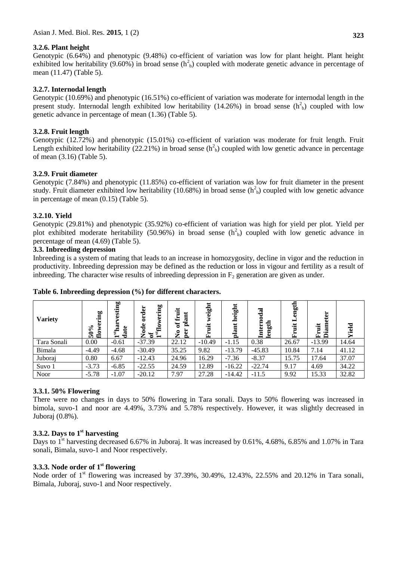## **3.2.6. Plant height**

Genotypic (6.64%) and phenotypic (9.48%) co-efficient of variation was low for plant height. Plant height exhibited low heritability (9.60%) in broad sense ( $h<sup>2</sup><sub>b</sub>$ ) coupled with moderate genetic advance in percentage of mean (11.47) (Table 5).

## **3.2.7. Internodal length**

Genotypic (10.69%) and phenotypic (16.51%) co-efficient of variation was moderate for internodal length in the present study. Internodal length exhibited low heritability (14.26%) in broad sense  $(h<sup>2</sup><sub>b</sub>)$  coupled with low genetic advance in percentage of mean (1.36) (Table 5).

## **3.2.8. Fruit length**

Genotypic (12.72%) and phenotypic (15.01%) co-efficient of variation was moderate for fruit length. Fruit Length exhibited low heritability (22.21%) in broad sense  $(h<sup>2</sup><sub>b</sub>)$  coupled with low genetic advance in percentage of mean (3.16) (Table 5).

## **3.2.9. Fruit diameter**

Genotypic (7.84%) and phenotypic (11.85%) co-efficient of variation was low for fruit diameter in the present study. Fruit diameter exhibited low heritability (10.68%) in broad sense  $(h<sup>2</sup><sub>b</sub>)$  coupled with low genetic advance in percentage of mean (0.15) (Table 5).

## **3.2.10. Yield**

Genotypic (29.81%) and phenotypic (35.92%) co-efficient of variation was high for yield per plot. Yield per plot exhibited moderate heritability (50.96%) in broad sense  $(h<sup>2</sup><sub>b</sub>)$  coupled with low genetic advance in percentage of mean (4.69) (Table 5).

#### **3.3. Inbreeding depression**

Inbreeding is a system of mating that leads to an increase in homozygosity, decline in vigor and the reduction in productivity. Inbreeding depression may be defined as the reduction or loss in vigour and fertility as a result of inbreeding. The character wise results of inbreeding depression in  $F<sub>2</sub>$  generation are given as under.

| <b>Variety</b> | ā,<br>Ē<br>flow<br>$\bullet$<br><b>15</b> | esting<br>ದಾ<br>date<br>$\mathbf{f}_{\rm ss}$<br>$\blacksquare$ | flowering<br>order<br>$\mathbf{d}\mathbf{e}$<br>ัธ<br>ัีีี<br>Ž. | 诣<br>Æ<br><u>a</u><br>$\sigma$<br><b>per</b><br>$\tilde{z}$ | weight<br>這<br>囩 | height<br>pla | $\overline{\mathbf{a}}$<br>tern<br>gth<br><u>_5</u><br>耳 | gth<br>Ĺ. | ģ<br>ਨ<br>iit<br>œ<br>Ä<br>囜 | ᇰ<br>Ñ |
|----------------|-------------------------------------------|-----------------------------------------------------------------|------------------------------------------------------------------|-------------------------------------------------------------|------------------|---------------|----------------------------------------------------------|-----------|------------------------------|--------|
| Tara Sonali    | 0.00                                      | $-0.61$                                                         | $-37.39$                                                         | 22.12                                                       | $-10.49$         | $-1.15$       | 0.38                                                     | 26.67     | $-13.99$                     | 14.64  |
| Bimala         | $-4.49$                                   | $-4.68$                                                         | $-30.49$                                                         | 35.25                                                       | 9.82             | $-13.79$      | $-45.83$                                                 | 10.84     | 7.14                         | 41.12  |
| Juboraj        | 0.80                                      | 6.67                                                            | $-12.43$                                                         | 24.96                                                       | 16.29            | $-7.36$       | $-8.37$                                                  | 15.75     | 17.64                        | 37.07  |
| Suvo 1         | $-3.73$                                   | $-6.85$                                                         | $-22.55$                                                         | 24.59                                                       | 12.89            | $-16.22$      | $-22.74$                                                 | 9.17      | 4.69                         | 34.22  |
| <b>Noor</b>    | $-5.78$                                   | $-1.07$                                                         | $-20.12$                                                         | 7.97                                                        | 27.28            | $-14.42$      | $-11.5$                                                  | 9.92      | 15.33                        | 32.82  |

#### **Table 6. Inbreeding depression (%) for different characters.**

## **3.3.1. 50% Flowering**

There were no changes in days to 50% flowering in Tara sonali. Days to 50% flowering was increased in bimola, suvo-1 and noor are 4.49%, 3.73% and 5.78% respectively. However, it was slightly decreased in Juboraj (0.8%).

## **3.3.2. Days to 1st harvesting**

Days to 1<sup>st</sup> harvesting decreased 6.67% in Juboraj. It was increased by 0.61%, 4.68%, 6.85% and 1.07% in Tara sonali, Bimala, suvo-1 and Noor respectively.

## **3.3.3. Node order of 1st flowering**

Node order of 1<sup>st</sup> flowering was increased by 37.39%, 30.49%, 12.43%, 22.55% and 20.12% in Tara sonali, Bimala, Juboraj, suvo-1 and Noor respectively.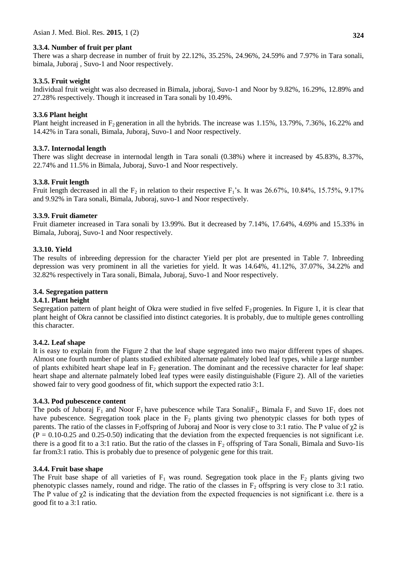#### **3.3.4. Number of fruit per plant**

There was a sharp decrease in number of fruit by 22.12%, 35.25%, 24.96%, 24.59% and 7.97% in Tara sonali, bimala, Juboraj , Suvo-1 and Noor respectively.

#### **3.3.5. Fruit weight**

Individual fruit weight was also decreased in Bimala, juboraj, Suvo-1 and Noor by 9.82%, 16.29%, 12.89% and 27.28% respectively. Though it increased in Tara sonali by 10.49%.

#### **3.3.6 Plant height**

Plant height increased in  $F_2$  generation in all the hybrids. The increase was  $1.15\%$ ,  $13.79\%$ ,  $7.36\%$ ,  $16.22\%$  and 14.42% in Tara sonali, Bimala, Juboraj, Suvo-1 and Noor respectively.

#### **3.3.7. Internodal length**

There was slight decrease in internodal length in Tara sonali (0.38%) where it increased by 45.83%, 8.37%, 22.74% and 11.5% in Bimala, Juboraj, Suvo-1 and Noor respectively.

#### **3.3.8. Fruit length**

Fruit length decreased in all the  $F_2$  in relation to their respective  $F_1$ 's. It was 26.67%, 10.84%, 15.75%, 9.17% and 9.92% in Tara sonali, Bimala, Juboraj, suvo-1 and Noor respectively.

#### **3.3.9. Fruit diameter**

Fruit diameter increased in Tara sonali by 13.99%. But it decreased by 7.14%, 17.64%, 4.69% and 15.33% in Bimala, Juboraj, Suvo-1 and Noor respectively.

#### **3.3.10. Yield**

The results of inbreeding depression for the character Yield per plot are presented in Table 7. Inbreeding depression was very prominent in all the varieties for yield. It was 14.64%, 41.12%, 37.07%, 34.22% and 32.82% respectively in Tara sonali, Bimala, Juboraj, Suvo-1 and Noor respectively.

#### **3.4. Segregation pattern**

#### **3.4.1. Plant height**

Segregation pattern of plant height of Okra were studied in five selfed  $F_2$  progenies. In Figure 1, it is clear that plant height of Okra cannot be classified into distinct categories. It is probably, due to multiple genes controlling this character.

#### **3.4.2. Leaf shape**

It is easy to explain from the Figure 2 that the leaf shape segregated into two major different types of shapes. Almost one fourth number of plants studied exhibited alternate palmately lobed leaf types, while a large number of plants exhibited heart shape leaf in  $F_2$  generation. The dominant and the recessive character for leaf shape: heart shape and alternate palmately lobed leaf types were easily distinguishable (Figure 2). All of the varieties showed fair to very good goodness of fit, which support the expected ratio 3:1.

#### **3.4.3. Pod pubescence content**

The pods of Juboraj  $F_1$  and Noor  $F_1$  have pubescence while Tara Sonali $F_1$ , Bimala  $F_1$  and Suvo 1 $F_1$  does not have pubescence. Segregation took place in the  $F_2$  plants giving two phenotypic classes for both types of parents. The ratio of the classes in F<sub>2</sub>offspring of Juboraj and Noor is very close to 3:1 ratio. The P value of  $\chi$ 2 is  $(P = 0.10 - 0.25$  and 0.25-0.50) indicating that the deviation from the expected frequencies is not significant i.e. there is a good fit to a 3:1 ratio. But the ratio of the classes in  $F<sub>2</sub>$  offspring of Tara Sonali, Bimala and Suvo-1is far from3:1 ratio. This is probably due to presence of polygenic gene for this trait.

#### **3.4.4. Fruit base shape**

The Fruit base shape of all varieties of  $F_1$  was round. Segregation took place in the  $F_2$  plants giving two phenotypic classes namely, round and ridge. The ratio of the classes in  $F<sub>2</sub>$  offspring is very close to 3:1 ratio. The P value of  $\chi$ 2 is indicating that the deviation from the expected frequencies is not significant i.e. there is a good fit to a 3:1 ratio.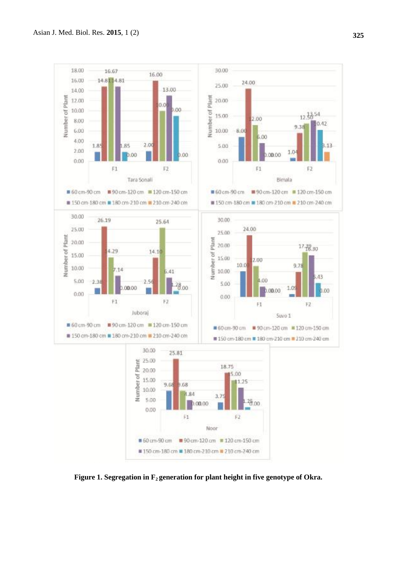

**Figure 1. Segregation in F2 generation for plant height in five genotype of Okra.**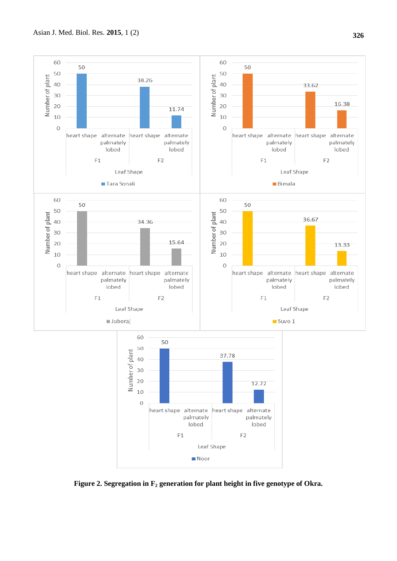

**Figure 2. Segregation in F<sup>2</sup> generation for plant height in five genotype of Okra.**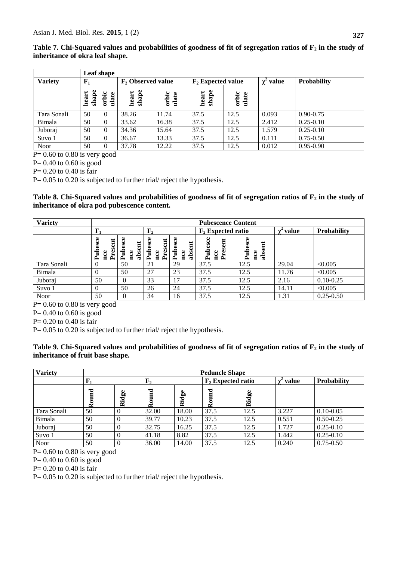**Table 7. Chi-Squared values and probabilities of goodness of fit of segregation ratios of F<sup>2</sup> in the study of inheritance of okra leaf shape.**

|                |              | Leaf shape     |                      |                |                      |               |       |                    |  |  |  |  |  |  |
|----------------|--------------|----------------|----------------------|----------------|----------------------|---------------|-------|--------------------|--|--|--|--|--|--|
| <b>Variety</b> | $F_1$        |                | $F_2$ Observed value |                | $F_2$ Expected value |               | value | <b>Probability</b> |  |  |  |  |  |  |
|                | shape<br>ear | orbic<br>ulate | shape<br>heart       | orbic<br>ulate | shape<br>heart       | orbic<br>late |       |                    |  |  |  |  |  |  |
| Tara Sonali    | 50           | $\Omega$       | 38.26                | 11.74          | 37.5                 | 12.5          | 0.093 | $0.90 - 0.75$      |  |  |  |  |  |  |
| Bimala         | 50           | $\overline{0}$ | 33.62                | 16.38          | 37.5                 | 12.5          | 2.412 | $0.25 - 0.10$      |  |  |  |  |  |  |
| Juboraj        | 50           | $\theta$       | 34.36                | 15.64          | 37.5                 | 12.5          | 1.579 | $0.25 - 0.10$      |  |  |  |  |  |  |
| Suvo 1         | 50           | $\Omega$       | 36.67                | 13.33          | 37.5                 | 12.5          | 0.111 | $0.75 - 0.50$      |  |  |  |  |  |  |
| Noor           | 50           | $\theta$       | 37.78                | 12.22          | 37.5                 | 12.5          | 0.012 | $0.95 - 0.90$      |  |  |  |  |  |  |

 $P= 0.60$  to 0.80 is very good

P= 0.40 to 0.60 is good

P= 0.20 to 0.40 is fair

P= 0.05 to 0.20 is subjected to further trial/ reject the hypothesis.

**Table 8. Chi-Squared values and probabilities of goodness of fit of segregation ratios of F<sup>2</sup> in the study of inheritance of okra pod pubescence content.**

| <b>Variety</b> |                                          |                                              |                                                  |                                 | <b>Pubescence Content</b>         |                                      |              |                    |
|----------------|------------------------------------------|----------------------------------------------|--------------------------------------------------|---------------------------------|-----------------------------------|--------------------------------------|--------------|--------------------|
|                | $\mathbf{F}_1$                           |                                              | $\mathbf{F}_2$                                   |                                 | $F_2$ Expected ratio              |                                      | <b>value</b> | <b>Probability</b> |
|                | esce<br>resent<br>Ě<br>ပီ<br>≏<br>∊<br>∼ | esce<br>$\overline{a}$<br>Ě<br>šd<br>ಕಿ<br>æ | esce<br>$\overline{a}$<br>읍<br>تە<br>ဗ<br>≏<br>d | esce<br>Ē<br>ਵਿ<br>ق<br>ႜ႘<br>▭ | ubesce<br>Ē<br>nce<br>g<br>≏<br>≏ | ubesce<br>Ħ<br>೪<br>Š<br>d<br>ದ<br>∼ |              |                    |
| Tara Sonali    | $\overline{0}$                           | 50                                           | 21                                               | 29                              | 37.5                              | 12.5                                 | 29.04        | < 0.005            |
| Bimala         | $\theta$                                 | 50                                           | 27                                               | 23                              | 37.5                              | 12.5                                 | 11.76        | < 0.005            |
| Juboraj        | 50                                       | $\Omega$                                     | 33                                               | 17                              | 37.5                              | 12.5                                 | 2.16         | $0.10 - 0.25$      |
| Suvo 1         | $\theta$                                 | 50                                           | 26                                               | 24                              | 37.5                              | 12.5                                 | 14.11        | < 0.005            |
| <b>Noor</b>    | 50                                       | $\theta$                                     | 34                                               | 16                              | 37.5                              | 12.5                                 | 1.31         | $0.25 - 0.50$      |

 $P= 0.60$  to 0.80 is very good

 $P= 0.40$  to 0.60 is good

 $P= 0.20$  to 0.40 is fair

P= 0.05 to 0.20 is subjected to further trial/ reject the hypothesis.

## **Table 9. Chi-Squared values and probabilities of goodness of fit of segregation ratios of F<sup>2</sup> in the study of inheritance of fruit base shape.**

| <b>Variety</b> | <b>Peduncle Shape</b> |       |                          |                             |                      |       |       |                    |  |
|----------------|-----------------------|-------|--------------------------|-----------------------------|----------------------|-------|-------|--------------------|--|
|                | $\mathbf{F}_1$        |       | $\mathbf{F}_2$           |                             | $F_2$ Expected ratio |       | value | <b>Probability</b> |  |
|                | ಕ<br>∝                | Ridge | $\mathbf{E}$<br>-<br>్లై | $\overline{a}$<br><u>ដូ</u> | $\mathbf{F}$<br>్లై  | Ridge |       |                    |  |
| Tara Sonali    | 50                    |       | 32.00                    | 18.00                       | 37.5                 | 12.5  | 3.227 | $0.10 - 0.05$      |  |
| Bimala         | 50                    |       | 39.77                    | 10.23                       | 37.5                 | 12.5  | 0.551 | $0.50 - 0.25$      |  |
| Juboraj        | 50                    |       | 32.75                    | 16.25                       | 37.5                 | 12.5  | 1.727 | $0.25 - 0.10$      |  |
| Suvo 1         | 50                    |       | 41.18                    | 8.82                        | 37.5                 | 12.5  | 1.442 | $0.25 - 0.10$      |  |
| Noor           | 50                    |       | 36.00                    | 14.00                       | 37.5                 | 12.5  | 0.240 | $0.75 - 0.50$      |  |

 $P= 0.60$  to 0.80 is very good

 $P= 0.40$  to 0.60 is good

P= 0.20 to 0.40 is fair

P= 0.05 to 0.20 is subjected to further trial/ reject the hypothesis.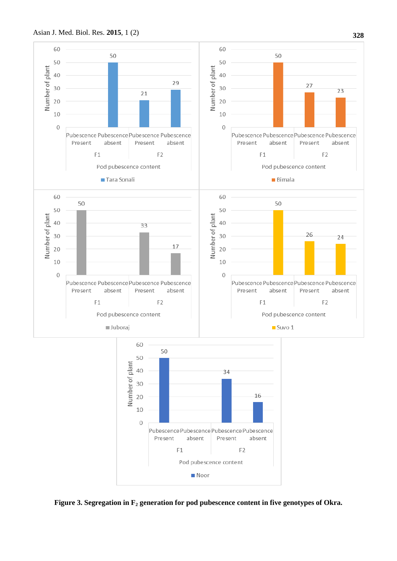

**Figure 3. Segregation in F<sup>2</sup> generation for pod pubescence content in five genotypes of Okra.**

**Noor** 

absent

 $F1$ 

Pubescence Pubescence Pubescence Pubescence

Pod pubescence content

Present

 $F<sub>2</sub>$ 

absent

10  $\overline{0}$ 

Present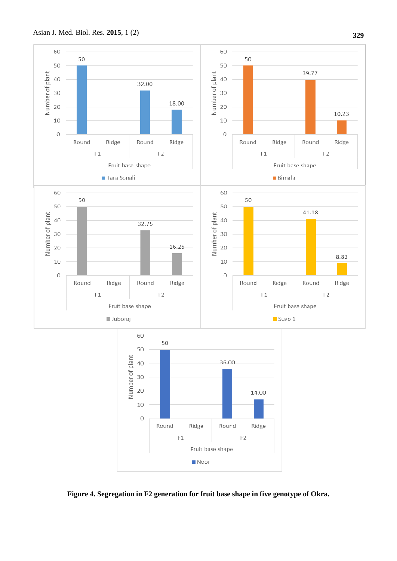

**Figure 4. Segregation in F2 generation for fruit base shape in five genotype of Okra.**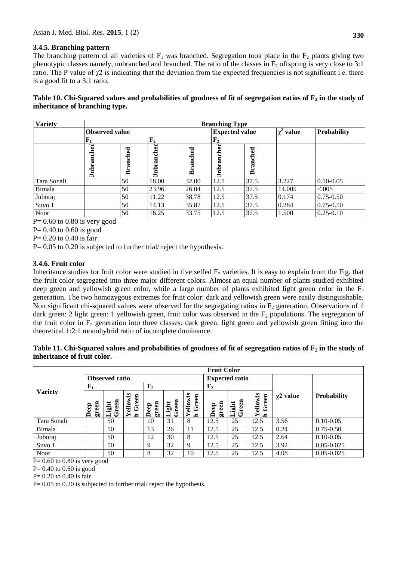## **3.4.5. Branching pattern**

The branching pattern of all varieties of  $F_1$  was branched. Segregation took place in the  $F_2$  plants giving two phenotypic classes namely, unbranched and branched. The ratio of the classes in  $F_2$  offspring is very close to 3:1 ratio. The P value of  $\chi$ 2 is indicating that the deviation from the expected frequencies is not significant i.e. there is a good fit to a 3:1 ratio.

## **Table 10. Chi-Squared values and probabilities of goodness of fit of segregation ratios of F<sup>2</sup> in the study of inheritance of branching type.**

| <b>Variety</b> |                         | <b>Branching Type</b> |               |                |            |                       |                     |                    |  |  |
|----------------|-------------------------|-----------------------|---------------|----------------|------------|-----------------------|---------------------|--------------------|--|--|
|                | <b>Observed value</b>   |                       |               |                |            | <b>Expected value</b> | value<br>$\gamma^4$ | <b>Probability</b> |  |  |
|                | ${\bf F_1}$             |                       |               | F <sub>2</sub> |            |                       |                     |                    |  |  |
|                | ా<br>흉<br>ā<br>iah<br>E | nched<br>ಷ<br>高       | ಇ<br>Inbranch | ಕ<br>ā<br>Bran | Inbranched | <b>Branched</b>       |                     |                    |  |  |
| Tara Sonali    |                         | 50                    | 18.00         | 32.00          | 12.5       | 37.5                  | 3.227               | $0.10 - 0.05$      |  |  |
| Bimala         |                         | 50                    | 23.96         | 26.04          | 12.5       | 37.5                  | 14.005              | < 0.005            |  |  |
| Juboraj        |                         | 50                    | 11.22         | 38.78          | 12.5       | 37.5                  | 0.174               | $0.75 - 0.50$      |  |  |
| Suvo 1         |                         | 50                    | 14.13         | 35.87          | 12.5       | 37.5                  | 0.284               | $0.75 - 0.50$      |  |  |
| Noor           |                         | 50                    | 16.25         | 33.75          | 12.5       | 37.5                  | 1.500               | $0.25 - 0.10$      |  |  |

 $P= 0.60$  to 0.80 is very good

 $P= 0.40$  to 0.60 is good

P= 0.20 to 0.40 is fair

P= 0.05 to 0.20 is subjected to further trial/ reject the hypothesis.

## **3.4.6. Fruit color**

Inheritance studies for fruit color were studied in five selfed  $F_2$  varieties. It is easy to explain from the Fig. that the fruit color segregated into three major different colors. Almost an equal number of plants studied exhibited deep green and yellowish green color, while a large number of plants exhibited light green color in the  $F_2$ generation. The two homozygous extremes for fruit color: dark and yellowish green were easily distinguishable. Non significant chi-squared values were observed for the segregating ratios in  $F_2$  generation. Observations of 1 dark green: 2 light green: 1 yellowish green, fruit color was observed in the  $F_2$  populations. The segregation of the fruit color in  $F_2$  generation into three classes: dark green, light green and yellowish green fitting into the theoretical 1:2:1 monohybrid ratio of incomplete dominance.

#### **Table 11. Chi-Squared values and probabilities of goodness of fit of segregation ratios of F<sup>2</sup> in the study of inheritance of fruit color.**

| <b>Variety</b> | <b>Fruit Color</b> |               |                                       |                |                |                              |                |                |                                         |                |                    |
|----------------|--------------------|---------------|---------------------------------------|----------------|----------------|------------------------------|----------------|----------------|-----------------------------------------|----------------|--------------------|
|                | Observed ratio     |               |                                       |                |                | <b>Expected ratio</b>        |                |                |                                         |                |                    |
|                | ${\bf F}_1$        |               |                                       | F <sub>2</sub> |                |                              | F <sub>2</sub> |                |                                         |                |                    |
|                | green<br>Deep      | Green<br>ight | ellowis<br>Green<br>↘<br>$\mathbf{r}$ | green<br>Deep  | Green<br>Light | ellowis<br>Green<br><u>c</u> | green<br>Deep  | Green<br>Light | ellowis<br>Green<br>↘<br>$\blacksquare$ | $\chi$ 2 value | <b>Probability</b> |
| Tara Sonali    |                    | 50            |                                       | 10             | 31             | 8                            | 12.5           | 25             | 12.5                                    | 3.56           | $0.10 - 0.05$      |
| Bimala         |                    | 50            |                                       | 13             | 26             | 11                           | 12.5           | 25             | 12.5                                    | 0.24           | $0.75 - 0.50$      |
| Juboraj        |                    | 50            |                                       | 12             | 30             | 8                            | 12.5           | 25             | 12.5                                    | 2.64           | $0.10 - 0.05$      |
| Suvo 1         |                    | 50            |                                       | $\mathbf{Q}$   | 32             | 9                            | 12.5           | 25             | 12.5                                    | 3.92           | $0.05 - 0.025$     |
| <b>Noor</b>    |                    | 50            |                                       | 8              | 32             | 10                           | 12.5           | 25             | 12.5                                    | 4.08           | $0.05 - 0.025$     |

 $P = 0.60$  to 0.80 is very good

 $P= 0.40$  to 0.60 is good

P= 0.20 to 0.40 is fair

P= 0.05 to 0.20 is subjected to further trial/ reject the hypothesis.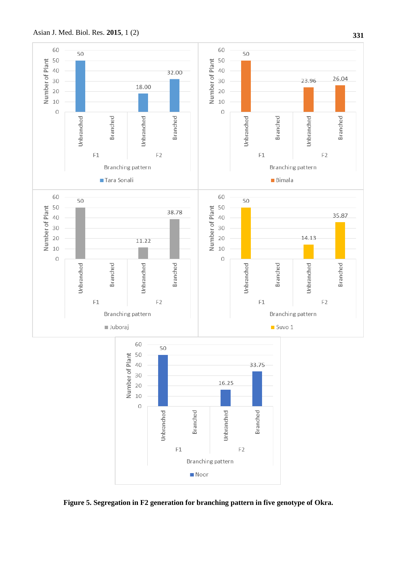

**Figure 5. Segregation in F2 generation for branching pattern in five genotype of Okra.**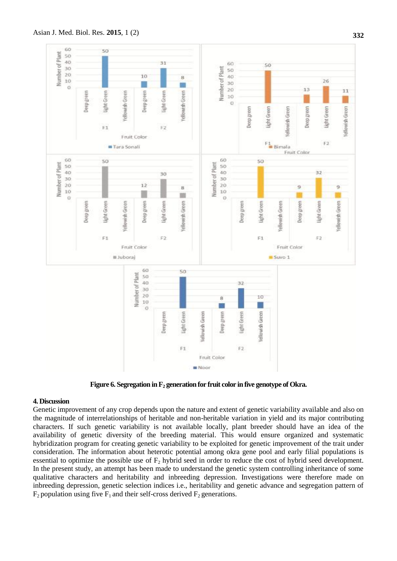

**Figure 6. Segregation in F<sup>2</sup> generation for fruit color in five genotype of Okra.** 

#### **4. Discussion**

Genetic improvement of any crop depends upon the nature and extent of genetic variability available and also on the magnitude of interrelationships of heritable and non-heritable variation in yield and its major contributing characters. If such genetic variability is not available locally, plant breeder should have an idea of the availability of genetic diversity of the breeding material. This would ensure organized and systematic hybridization program for creating genetic variability to be exploited for genetic improvement of the trait under consideration. The information about heterotic potential among okra gene pool and early filial populations is essential to optimize the possible use of  $F_2$  hybrid seed in order to reduce the cost of hybrid seed development. In the present study, an attempt has been made to understand the genetic system controlling inheritance of some qualitative characters and heritability and inbreeding depression. Investigations were therefore made on inbreeding depression, genetic selection indices i.e., heritability and genetic advance and segregation pattern of  $F_2$  population using five  $F_1$  and their self-cross derived  $F_2$  generations.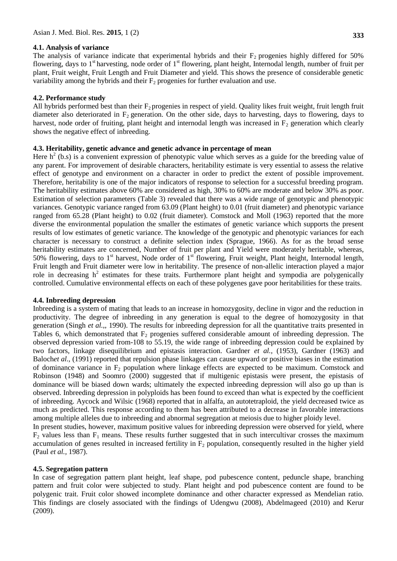#### **4.1. Analysis of variance**

The analysis of variance indicate that experimental hybrids and their  $F<sub>2</sub>$  progenies highly differed for 50% flowering, days to  $1<sup>st</sup>$  harvesting, node order of  $1<sup>st</sup>$  flowering, plant height, Internodal length, number of fruit per plant, Fruit weight, Fruit Length and Fruit Diameter and yield. This shows the presence of considerable genetic

# **4.2. Performance study**

All hybrids performed best than their  $F_2$  progenies in respect of yield. Quality likes fruit weight, fruit length fruit diameter also deteriorated in  $F_2$  generation. On the other side, days to harvesting, days to flowering, days to harvest, node order of fruiting, plant height and internodal length was increased in  $F_2$  generation which clearly shows the negative effect of inbreeding.

# **4.3. Heritability, genetic advance and genetic advance in percentage of mean**

variability among the hybrids and their  $F_2$  progenies for further evaluation and use.

Here  $h^2$  (b.s) is a convenient expression of phenotypic value which serves as a guide for the breeding value of any parent. For improvement of desirable characters, heritability estimate is very essential to assess the relative effect of genotype and environment on a character in order to predict the extent of possible improvement. Therefore, heritability is one of the major indicators of response to selection for a successful breeding program. The heritability estimates above 60% are considered as high, 30% to 60% are moderate and below 30% as poor. Estimation of selection parameters (Table 3) revealed that there was a wide range of genotypic and phenotypic variances. Genotypic variance ranged from 63.09 (Plant height) to 0.01 (fruit diameter) and phenotypic variance ranged from 65.28 (Plant height) to 0.02 (fruit diameter). Comstock and Moll (1963) reported that the more diverse the environmental population the smaller the estimates of genetic variance which supports the present results of low estimates of genetic variance. The knowledge of the genotypic and phenotypic variances for each character is necessary to construct a definite selection index (Sprague, 1966). As for as the broad sense heritability estimates are concerned, Number of fruit per plant and Yield were moderately heritable, whereas, 50% flowering, days to 1<sup>st</sup> harvest, Node order of 1<sup>st</sup> flowering, Fruit weight, Plant height, Internodal length, Fruit length and Fruit diameter were low in heritability. The presence of non-allelic interaction played a major role in decreasing  $h^2$  estimates for these traits. Furthermore plant height and sympodia are polygenically controlled. Cumulative environmental effects on each of these polygenes gave poor heritabilities for these traits.

# **4.4. Inbreeding depression**

Inbreeding is a system of mating that leads to an increase in homozygosity, decline in vigor and the reduction in productivity. The degree of inbreeding in any generation is equal to the degree of homozygosity in that generation (Singh *et al.,*, 1990). The results for inbreeding depression for all the quantitative traits presented in Tables 6, which demonstrated that  $F_2$  progenies suffered considerable amount of inbreeding depression. The observed depression varied from-108 to 55.19, the wide range of inbreeding depression could be explained by two factors, linkage disequilibrium and epistasis interaction. Gardner *et al.,* (1953), Gardner (1963) and Baloch*et al.,* (1991) reported that repulsion phase linkages can cause upward or positive biases in the estimation of dominance variance in  $F_2$  population where linkage effects are expected to be maximum. Comstock and Robinson (1948) and Soomro (2000) suggested that if multigenic epistasis were present, the epistasis of dominance will be biased down wards; ultimately the expected inbreeding depression will also go up than is observed. Inbreeding depression in polyploids has been found to exceed than what is expected by the coefficient of inbreeding. Aycock and Wilsic (1968) reported that in alfalfa, an autotetraploid, the yield decreased twice as much as predicted. This response according to them has been attributed to a decrease in favorable interactions among multiple alleles due to inbreeding and abnormal segregation at meiosis due to higher ploidy level.

In present studies, however, maximum positive values for inbreeding depression were observed for yield, where  $F_2$  values less than  $F_1$  means. These results further suggested that in such intercultivar crosses the maximum accumulation of genes resulted in increased fertility in  $F_2$  population, consequently resulted in the higher yield (Paul *et al.,* 1987).

# **4.5. Segregation pattern**

In case of segregation pattern plant height, leaf shape, pod pubescence content, peduncle shape, branching pattern and fruit color were subjected to study. Plant height and pod pubescence content are found to be polygenic trait. Fruit color showed incomplete dominance and other character expressed as Mendelian ratio. This findings are closely associated with the findings of Udengwu (2008), Abdelmageed (2010) and Kerur (2009).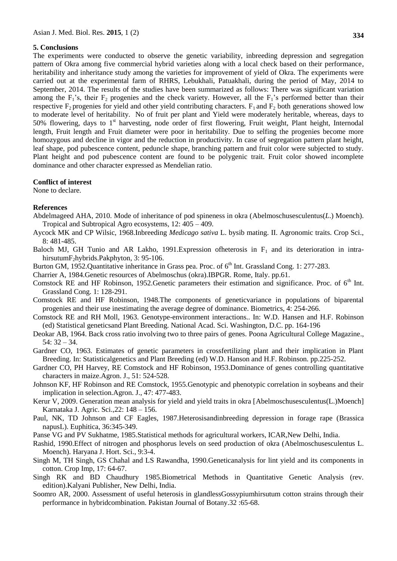#### **5. Conclusions**

The experiments were conducted to observe the genetic variability, inbreeding depression and segregation pattern of Okra among five commercial hybrid varieties along with a local check based on their performance, heritability and inheritance study among the varieties for improvement of yield of Okra. The experiments were carried out at the experimental farm of RHRS, Lebukhali, Patuakhali, during the period of May, 2014 to September, 2014. The results of the studies have been summarized as follows: There was significant variation among the  $F_1$ 's, their  $F_2$  progenies and the check variety. However, all the  $F_1$ 's performed better than their respective F<sub>2</sub> progenies for yield and other yield contributing characters.  $F_1$  and  $F_2$  both generations showed low to moderate level of heritability. No of fruit per plant and Yield were moderately heritable, whereas, days to 50% flowering, days to 1<sup>st</sup> harvesting, node order of first flowering, Fruit weight, Plant height, Internodal length, Fruit length and Fruit diameter were poor in heritability. Due to selfing the progenies become more homozygous and decline in vigor and the reduction in productivity. In case of segregation pattern plant height, leaf shape, pod pubescence content, peduncle shape, branching pattern and fruit color were subjected to study. Plant height and pod pubescence content are found to be polygenic trait. Fruit color showed incomplete dominance and other character expressed as Mendelian ratio.

#### **Conflict of interest**

None to declare.

#### **References**

- Abdelmageed AHA, 2010. Mode of inheritance of pod spineness in okra (Abelmoschusesculentus(*L*.) Moench). Tropical and Subtropical Agro ecosystems, 12: 405 – 409.
- Aycock MK and CP Wilsic, 1968.Inbreeding *Medicago sativa* L. bysib mating. II. Agronomic traits. Crop Sci., 8: 481-485.
- Baloch MJ, GH Tunio and AR Lakho, 1991.Expression of heterosis in  $F_1$  and its deterioration in intrahirsutumF<sub>2</sub>hybrids.Pakphyton, 3: 95-106.
- Burton GM, 1952.Quantitative inheritance in Grass pea. Proc. of  $6<sup>th</sup>$  Int. Grassland Cong. 1: 277-283.
- Charrier A, 1984.Genetic resources of Abelmoschus (okra).IBPGR. Rome, Italy. pp.61.
- Comstock RE and HF Robinson, 1952. Genetic parameters their estimation and significance. Proc. of  $6<sup>th</sup>$  Int. Grassland Cong. 1: 128-291.
- Comstock RE and HF Robinson, 1948.The components of geneticvariance in populations of biparental progenies and their use inestimating the average degree of dominance. Biometrics, 4: 254-266.
- Comstock RE and RH Moll, 1963. Genotype-environment interactions.. In: W.D. Hansen and H.F. Robinson (ed) Statistical geneticsand Plant Breeding. National Acad. Sci. Washington, D.C. pp. 164-196
- Deokar AB, 1964. Back cross ratio involving two to three pairs of genes. Poona Agricultural College Magazine., 54: 32 – 34.
- Gardner CO, 1963. Estimates of genetic parameters in crossfertilizing plant and their implication in Plant Breeding. In: Statisticalgenetics and Plant Breeding (ed) W.D. Hanson and H.F. Robinson. pp.225-252.
- Gardner CO, PH Harvey, RE Comstock and HF Robinson, 1953.Dominance of genes controlling quantitative characters in maize.Agron. J., 51: 524-528.
- Johnson KF, HF Robinson and RE Comstock, 1955.Genotypic and phenotypic correlation in soybeans and their implication in selection.Agron. J., 47: 477-483.
- Kerur V, 2009. Generation mean analysis for yield and yield traits in okra [Abelmoschusesculentus(L.)Moench] Karnataka J. Agric. Sci.,22: 148 – 156.
- Paul, NK, TD Johnson and CF Eagles, 1987.Heterosisandinbreeding depression in forage rape (Brassica napusL). Euphitica, 36:345-349.
- Panse VG and PV Sukhatme, 1985.Statistical methods for agricultural workers, ICAR,New Delhi, India.
- Rashid, 1990.Effect of nitrogen and phosphorus levels on seed production of okra (Abelmoschusesculentus L. Moench). Haryana J. Hort. Sci., 9:3-4.
- Singh M, TH Singh, GS Chahal and LS Rawandha, 1990.Geneticanalysis for lint yield and its components in cotton. Crop Imp, 17: 64-67.
- Singh RK and BD Chaudhury 1985.Biometrical Methods in Quantitative Genetic Analysis (rev. edition).Kalyani Publisher, New Delhi, India.
- Soomro AR, 2000. Assessment of useful heterosis in glandlessGossypiumhirsutum cotton strains through their performance in hybridcombination. Pakistan Journal of Botany.32 :65-68.